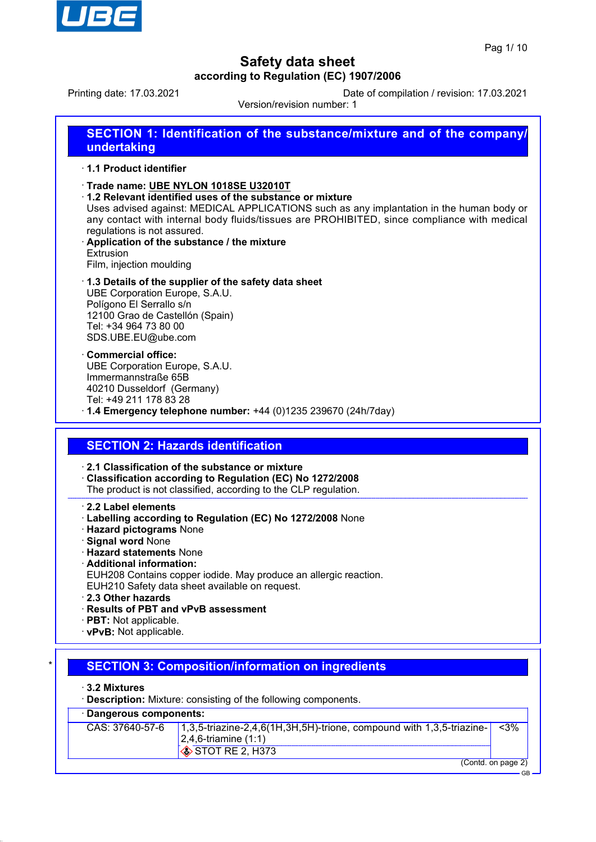

Printing date: 17.03.2021 Date of compilation / revision: 17.03.2021

Version/revision number: 1

# **SECTION 1: Identification of the substance/mixture and of the company/ undertaking**

### · **1.1 Product identifier**

- · **Trade name: UBE NYLON 1018SE U32010T**
- · **1.2 Relevant identified uses of the substance or mixture**
- Uses advised against: MEDICAL APPLICATIONS such as any implantation in the human body or any contact with internal body fluids/tissues are PROHIBITED, since compliance with medical regulations is not assured.
- · **Application of the substance / the mixture Extrusion** Film, injection moulding
- · **1.3 Details of the supplier of the safety data sheet** UBE Corporation Europe, S.A.U. Polígono El Serrallo s/n 12100 Grao de Castellón (Spain) Tel: +34 964 73 80 00 SDS.UBE.EU@ube.com
- · **Commercial office:** UBE Corporation Europe, S.A.U. Immermannstraße 65B 40210 Dusseldorf (Germany) Tel: +49 211 178 83 28
- · **1.4 Emergency telephone number:** +44 (0)1235 239670 (24h/7day)

## **SECTION 2: Hazards identification**

### · **2.1 Classification of the substance or mixture**

- · **Classification according to Regulation (EC) No 1272/2008**
- The product is not classified, according to the CLP regulation.
- · **2.2 Label elements**
- · **Labelling according to Regulation (EC) No 1272/2008** None
- · **Hazard pictograms** None
- · **Signal word** None
- · **Hazard statements** None
- · **Additional information:**
- EUH208 Contains copper iodide. May produce an allergic reaction.
- EUH210 Safety data sheet available on request.
- · **2.3 Other hazards**
- · **Results of PBT and vPvB assessment**
- · **PBT:** Not applicable.
- · **vPvB:** Not applicable.

## **SECTION 3: Composition/information on ingredients**

#### · **3.2 Mixtures**

**Description:** Mixture: consisting of the following components.

### · **Dangerous components:**

| CAS: $37640-57-6$   1,3,5-triazine-2,4,6(1H,3H,5H)-trione, compound with 1,3,5-triazine- | -<3%               |
|------------------------------------------------------------------------------------------|--------------------|
| $ 2,4,6$ -triamine $(1:1)$                                                               |                    |
| $\otimes$ STOT RE 2, H373                                                                |                    |
|                                                                                          | (Contd. on page 2) |

GB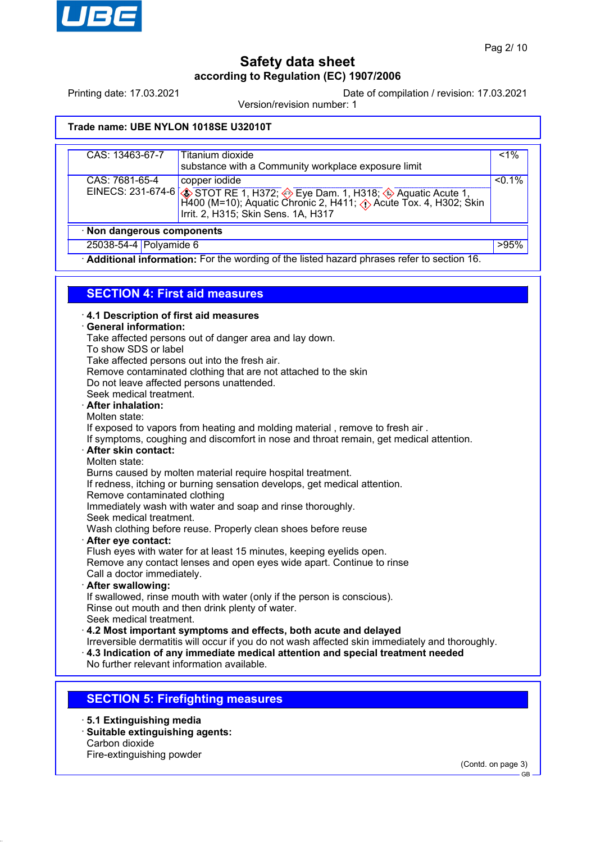

Printing date: 17.03.2021 Date of compilation / revision: 17.03.2021

Version/revision number: 1

## **Trade name: UBE NYLON 1018SE U32010T**

| CAS: 13463-67-7            | Titanium dioxide<br>substance with a Community workplace exposure limit                                                                                                                                                  | $< 1\%$   |
|----------------------------|--------------------------------------------------------------------------------------------------------------------------------------------------------------------------------------------------------------------------|-----------|
| CAS: 7681-65-4             | copper iodide<br>EINECS: 231-674-6 STOT RE 1, H372; Seye Dam. 1, H318; Aquatic Acute 1, H318; 331-674-6 H400 (M=10); Aquatic Chronic 2, H411; $\Diamond$ Acute Tox. 4, H302; Skin<br>Irrit. 2, H315; Skin Sens. 1A, H317 | $< 0.1\%$ |
| · Non dangerous components |                                                                                                                                                                                                                          |           |
| 25038-54-4 Polyamide 6     |                                                                                                                                                                                                                          | >95%      |

· **Additional information:** For the wording of the listed hazard phrases refer to section 16.

## **SECTION 4: First aid measures**

| 4.1 Description of first aid measures<br>· General information:<br>Take affected persons out of danger area and lay down.<br>To show SDS or label<br>Take affected persons out into the fresh air.<br>Remove contaminated clothing that are not attached to the skin<br>Do not leave affected persons unattended.<br>Seek medical treatment.<br>· After inhalation:<br>Molten state:<br>If exposed to vapors from heating and molding material, remove to fresh air.<br>If symptoms, coughing and discomfort in nose and throat remain, get medical attention.<br>After skin contact:<br>Molten state:<br>Burns caused by molten material require hospital treatment.<br>If redness, itching or burning sensation develops, get medical attention.<br>Remove contaminated clothing<br>Immediately wash with water and soap and rinse thoroughly.<br>Seek medical treatment.<br>Wash clothing before reuse. Properly clean shoes before reuse<br>· After eye contact:<br>Flush eyes with water for at least 15 minutes, keeping eyelids open.<br>Remove any contact lenses and open eyes wide apart. Continue to rinse<br>Call a doctor immediately.<br>· After swallowing:<br>If swallowed, rinse mouth with water (only if the person is conscious).<br>Rinse out mouth and then drink plenty of water.<br>Seek medical treatment.<br>4.2 Most important symptoms and effects, both acute and delayed<br>Irreversible dermatitis will occur if you do not wash affected skin immediately and thoroughly. |
|-----------------------------------------------------------------------------------------------------------------------------------------------------------------------------------------------------------------------------------------------------------------------------------------------------------------------------------------------------------------------------------------------------------------------------------------------------------------------------------------------------------------------------------------------------------------------------------------------------------------------------------------------------------------------------------------------------------------------------------------------------------------------------------------------------------------------------------------------------------------------------------------------------------------------------------------------------------------------------------------------------------------------------------------------------------------------------------------------------------------------------------------------------------------------------------------------------------------------------------------------------------------------------------------------------------------------------------------------------------------------------------------------------------------------------------------------------------------------------------------------------------|
| 4.3 Indication of any immediate medical attention and special treatment needed<br>No further relevant information available.                                                                                                                                                                                                                                                                                                                                                                                                                                                                                                                                                                                                                                                                                                                                                                                                                                                                                                                                                                                                                                                                                                                                                                                                                                                                                                                                                                              |
| <b>SECTION 5: Firefighting measures</b>                                                                                                                                                                                                                                                                                                                                                                                                                                                                                                                                                                                                                                                                                                                                                                                                                                                                                                                                                                                                                                                                                                                                                                                                                                                                                                                                                                                                                                                                   |
|                                                                                                                                                                                                                                                                                                                                                                                                                                                                                                                                                                                                                                                                                                                                                                                                                                                                                                                                                                                                                                                                                                                                                                                                                                                                                                                                                                                                                                                                                                           |

· **5.1 Extinguishing media**

· **Suitable extinguishing agents:** Carbon dioxide

Fire-extinguishing powder

(Contd. on page 3)

GB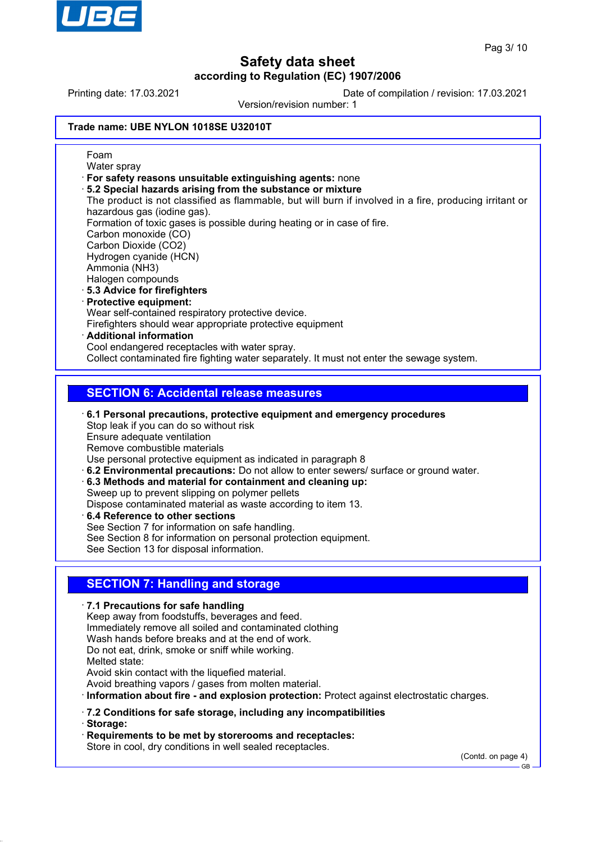

Printing date: 17.03.2021 Date of compilation / revision: 17.03.2021

Version/revision number: 1

### **Trade name: UBE NYLON 1018SE U32010T**

Foam Water spray · **For safety reasons unsuitable extinguishing agents:** none · **5.2 Special hazards arising from the substance or mixture** The product is not classified as flammable, but will burn if involved in a fire, producing irritant or hazardous gas (iodine gas). Formation of toxic gases is possible during heating or in case of fire. Carbon monoxide (CO) Carbon Dioxide (CO2) Hydrogen cyanide (HCN) Ammonia (NH3) Halogen compounds · **5.3 Advice for firefighters** · **Protective equipment:** Wear self-contained respiratory protective device. Firefighters should wear appropriate protective equipment · **Additional information** Cool endangered receptacles with water spray. Collect contaminated fire fighting water separately. It must not enter the sewage system. **SECTION 6: Accidental release measures**

- · **6.1 Personal precautions, protective equipment and emergency procedures** Stop leak if you can do so without risk Ensure adequate ventilation Remove combustible materials Use personal protective equipment as indicated in paragraph 8 · **6.2 Environmental precautions:** Do not allow to enter sewers/ surface or ground water.
- · **6.3 Methods and material for containment and cleaning up:** Sweep up to prevent slipping on polymer pellets Dispose contaminated material as waste according to item 13.
- · **6.4 Reference to other sections** See Section 7 for information on safe handling. See Section 8 for information on personal protection equipment. See Section 13 for disposal information.

## **SECTION 7: Handling and storage**

· **7.1 Precautions for safe handling**

Keep away from foodstuffs, beverages and feed. Immediately remove all soiled and contaminated clothing Wash hands before breaks and at the end of work. Do not eat, drink, smoke or sniff while working. Melted state: Avoid skin contact with the liquefied material. Avoid breathing vapors / gases from molten material. · **Information about fire - and explosion protection:** Protect against electrostatic charges.

- · **7.2 Conditions for safe storage, including any incompatibilities**
- · **Storage:**

· **Requirements to be met by storerooms and receptacles:** Store in cool, dry conditions in well sealed receptacles.

(Contd. on page 4)

GB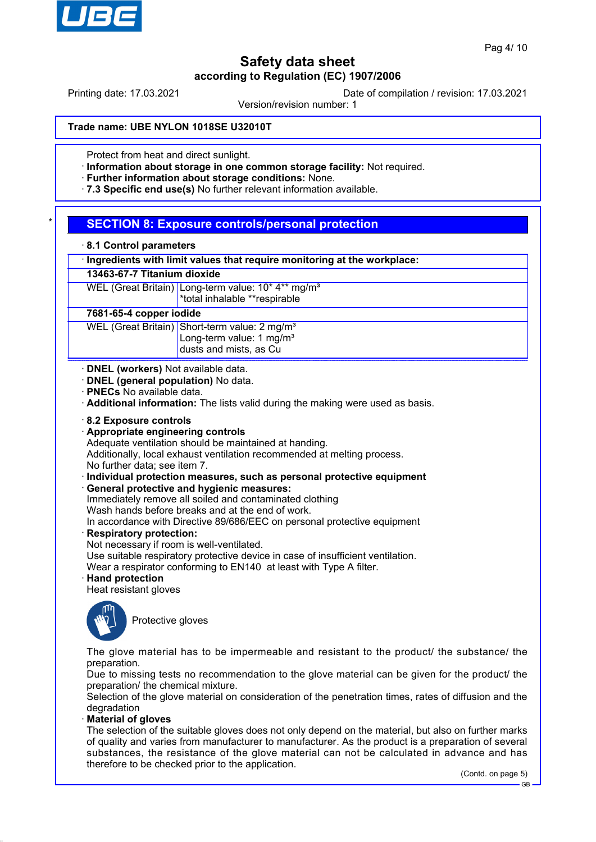

Printing date: 17.03.2021 Date of compilation / revision: 17.03.2021

Version/revision number: 1

#### **Trade name: UBE NYLON 1018SE U32010T**

Protect from heat and direct sunlight.

· **Information about storage in one common storage facility:** Not required.

· **Further information about storage conditions:** None.

· **7.3 Specific end use(s)** No further relevant information available.

## **SECTION 8: Exposure controls/personal protection**

|  |  |  | 8.1 Control parameters |
|--|--|--|------------------------|
|--|--|--|------------------------|

· **Ingredients with limit values that require monitoring at the workplace:**

## **13463-67-7 Titanium dioxide**

WEL (Great Britain) Long-term value: 10\* 4\*\* mg/m<sup>3</sup> \*total inhalable \*\*respirable

#### **7681-65-4 copper iodide**

WEL (Great Britain) Short-term value: 2 mg/m<sup>3</sup> Long-term value: 1 mg/m<sup>3</sup> dusts and mists, as Cu

· **DNEL (workers)** Not available data.

· **DNEL (general population)** No data.

· **PNECs** No available data.

· **Additional information:** The lists valid during the making were used as basis.

- · **8.2 Exposure controls**
- · **Appropriate engineering controls**

Adequate ventilation should be maintained at handing.

Additionally, local exhaust ventilation recommended at melting process.

No further data; see item 7.

- · **Individual protection measures, such as personal protective equipment**
- · **General protective and hygienic measures:**

Immediately remove all soiled and contaminated clothing

Wash hands before breaks and at the end of work. In accordance with Directive 89/686/EEC on personal protective equipment

· **Respiratory protection:**

Not necessary if room is well-ventilated.

Use suitable respiratory protective device in case of insufficient ventilation.

Wear a respirator conforming to EN140 at least with Type A filter.

### · **Hand protection**

Heat resistant gloves



Protective gloves

The glove material has to be impermeable and resistant to the product/ the substance/ the preparation.

Due to missing tests no recommendation to the glove material can be given for the product/ the preparation/ the chemical mixture.

Selection of the glove material on consideration of the penetration times, rates of diffusion and the degradation

### · **Material of gloves**

The selection of the suitable gloves does not only depend on the material, but also on further marks of quality and varies from manufacturer to manufacturer. As the product is a preparation of several substances, the resistance of the glove material can not be calculated in advance and has therefore to be checked prior to the application.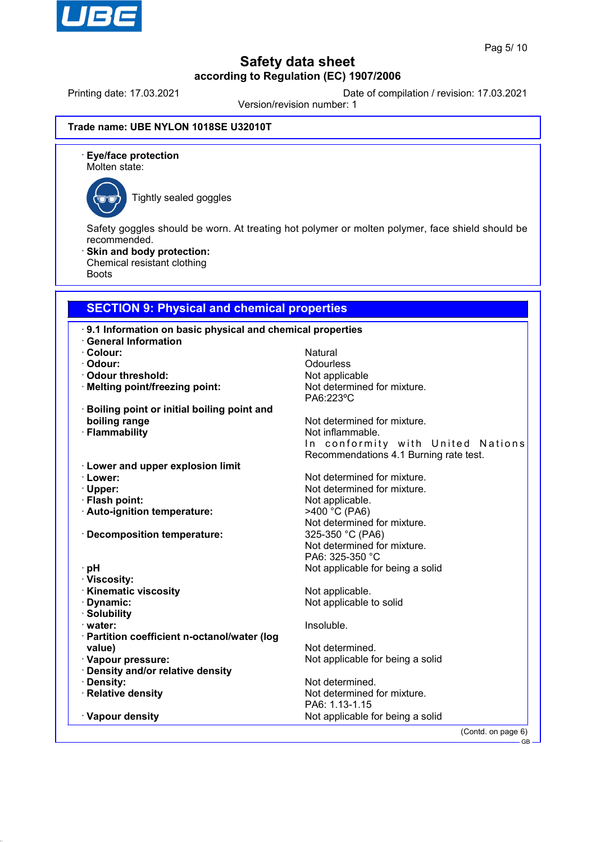

Printing date: 17.03.2021 Date of compilation / revision: 17.03.2021

Version/revision number: 1

### **Trade name: UBE NYLON 1018SE U32010T**

· **Eye/face protection** Molten state:



Tightly sealed goggles

Safety goggles should be worn. At treating hot polymer or molten polymer, face shield should be recommended.

Skin and body protection: Chemical resistant clothing Boots

## **SECTION 9: Physical and chemical properties**

|                                                   | .9.1 Information on basic physical and chemical properties |  |  |
|---------------------------------------------------|------------------------------------------------------------|--|--|
| <b>General Information</b>                        |                                                            |  |  |
| · Colour:                                         | Natural                                                    |  |  |
| · Odour:                                          | Odourless                                                  |  |  |
| · Odour threshold:                                | Not applicable                                             |  |  |
| · Melting point/freezing point:                   | Not determined for mixture.                                |  |  |
|                                                   | PA6:223°C                                                  |  |  |
| <b>Boiling point or initial boiling point and</b> |                                                            |  |  |
| boiling range                                     | Not determined for mixture.                                |  |  |
| · Flammability                                    | Not inflammable.                                           |  |  |
|                                                   | In conformity with United Nations                          |  |  |
|                                                   | Recommendations 4.1 Burning rate test.                     |  |  |
| <b>Lower and upper explosion limit</b>            |                                                            |  |  |
| · Lower:                                          | Not determined for mixture.                                |  |  |
| · Upper:                                          | Not determined for mixture.                                |  |  |
| · Flash point:                                    | Not applicable.                                            |  |  |
| · Auto-ignition temperature:                      | >400 °C (PA6)                                              |  |  |
|                                                   | Not determined for mixture.                                |  |  |
| · Decomposition temperature:                      | 325-350 °C (PA6)                                           |  |  |
|                                                   | Not determined for mixture.                                |  |  |
|                                                   | PA6: 325-350 °C                                            |  |  |
| ∙ pH                                              | Not applicable for being a solid                           |  |  |
| · Viscosity:                                      |                                                            |  |  |
| <b>Kinematic viscosity</b>                        | Not applicable.                                            |  |  |
| · Dynamic:                                        | Not applicable to solid                                    |  |  |
| · Solubility                                      |                                                            |  |  |
| $\cdot$ water:                                    | Insoluble.                                                 |  |  |
| · Partition coefficient n-octanol/water (log      |                                                            |  |  |
| value)                                            | Not determined.                                            |  |  |
| · Vapour pressure:                                | Not applicable for being a solid                           |  |  |
| · Density and/or relative density                 |                                                            |  |  |
| · Density:                                        | Not determined.                                            |  |  |
| · Relative density                                | Not determined for mixture.                                |  |  |
|                                                   |                                                            |  |  |
|                                                   | PA6: 1.13-1.15                                             |  |  |
| · Vapour density                                  | Not applicable for being a solid                           |  |  |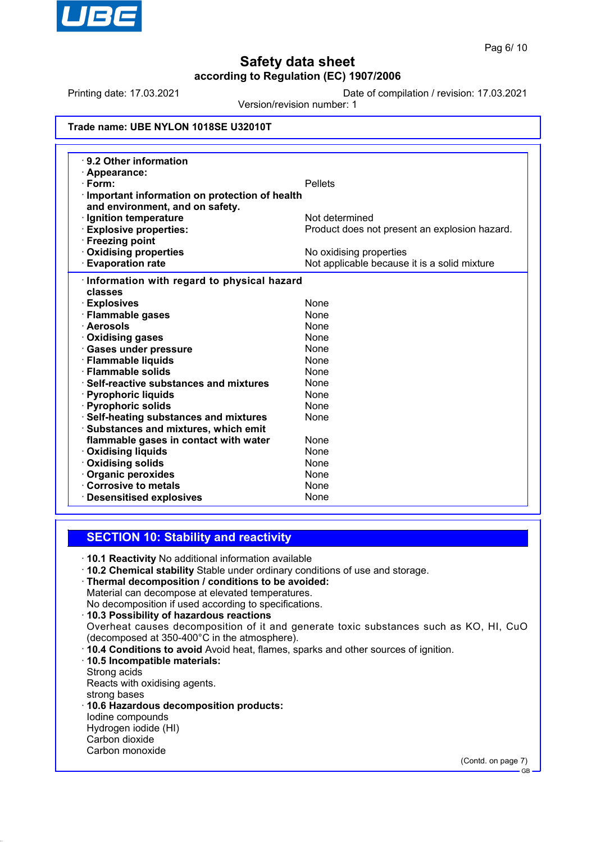

Printing date: 17.03.2021 Date of compilation / revision: 17.03.2021

Version/revision number: 1

### **Trade name: UBE NYLON 1018SE U32010T**

| ⋅ 9.2 Other information<br>$\cdot$ Appearance:          |                                               |
|---------------------------------------------------------|-----------------------------------------------|
| $\cdot$ Form:                                           | <b>Pellets</b>                                |
| Important information on protection of health           |                                               |
| and environment, and on safety.                         |                                               |
| · Ignition temperature                                  | Not determined                                |
| <b>Explosive properties:</b>                            | Product does not present an explosion hazard. |
| · Freezing point                                        |                                               |
| · Oxidising properties                                  | No oxidising properties                       |
| <b>Evaporation rate</b>                                 | Not applicable because it is a solid mixture  |
|                                                         |                                               |
| · Information with regard to physical hazard<br>classes |                                               |
|                                                         | <b>None</b>                                   |
| · Explosives<br>· Flammable gases                       | <b>None</b>                                   |
| · Aerosols                                              | <b>None</b>                                   |
| <b>Oxidising gases</b>                                  | <b>None</b>                                   |
| · Gases under pressure                                  | <b>None</b>                                   |
| · Flammable liquids                                     | <b>None</b>                                   |
| · Flammable solids                                      | None                                          |
| $\cdot$ Self-reactive substances and mixtures           | <b>None</b>                                   |
| · Pyrophoric liquids                                    | None                                          |
| · Pyrophoric solids                                     | <b>None</b>                                   |
| · Self-heating substances and mixtures                  | None                                          |
| · Substances and mixtures, which emit                   |                                               |
| flammable gases in contact with water                   | <b>None</b>                                   |
| · Oxidising liquids                                     | <b>None</b>                                   |
| · Oxidising solids                                      | None                                          |
| · Organic peroxides                                     | <b>None</b>                                   |
| Corrosive to metals                                     | None                                          |
| <b>Desensitised explosives</b>                          | None                                          |

### **SECTION 10: Stability and reactivity**

- · **10.1 Reactivity** No additional information available
- · **10.2 Chemical stability** Stable under ordinary conditions of use and storage.
- · **Thermal decomposition / conditions to be avoided:** Material can decompose at elevated temperatures.

No decomposition if used according to specifications.

- · **10.3 Possibility of hazardous reactions**
- Overheat causes decomposition of it and generate toxic substances such as KO, HI, CuO (decomposed at 350-400°C in the atmosphere).
- · **10.4 Conditions to avoid** Avoid heat, flames, sparks and other sources of ignition.
- · **10.5 Incompatible materials:**
- Strong acids

Reacts with oxidising agents.

- strong bases
- · **10.6 Hazardous decomposition products:**
- Iodine compounds Hydrogen iodide (HI)
- Carbon dioxide Carbon monoxide

(Contd. on page 7)

GB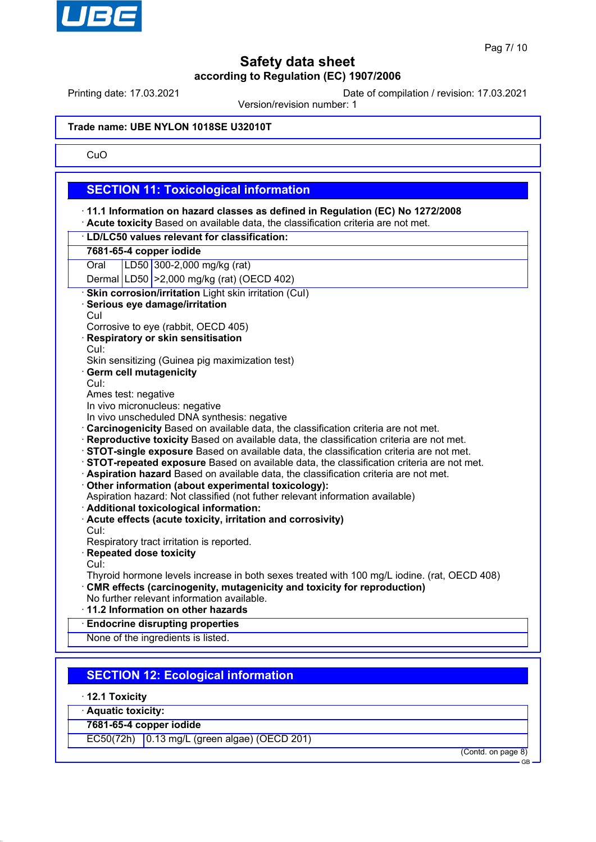

Printing date: 17.03.2021 Date of compilation / revision: 17.03.2021

Version/revision number: 1

#### **Trade name: UBE NYLON 1018SE U32010T**

### CuO

### **SECTION 11: Toxicological information**

· **11.1 Information on hazard classes as defined in Regulation (EC) No 1272/2008** · **Acute toxicity** Based on available data, the classification criteria are not met. · **LD/LC50 values relevant for classification: 7681-65-4 copper iodide** Oral LD50 300-2,000 mg/kg (rat) Dermal LD50 >2,000 mg/kg (rat) (OECD 402) **Skin corrosion/irritation** Light skin irritation (CuI) · **Serious eye damage/irritation** CuI Corrosive to eye (rabbit, OECD 405) · **Respiratory or skin sensitisation** CuI: Skin sensitizing (Guinea pig maximization test) **Germ cell mutagenicity** CuI: Ames test: negative In vivo micronucleus: negative In vivo unscheduled DNA synthesis: negative · **Carcinogenicity** Based on available data, the classification criteria are not met. · **Reproductive toxicity** Based on available data, the classification criteria are not met. · **STOT-single exposure** Based on available data, the classification criteria are not met. · **STOT-repeated exposure** Based on available data, the classification criteria are not met. · **Aspiration hazard** Based on available data, the classification criteria are not met. · **Other information (about experimental toxicology):** Aspiration hazard: Not classified (not futher relevant information available) · **Additional toxicological information:** · **Acute effects (acute toxicity, irritation and corrosivity)** CuI: Respiratory tract irritation is reported. · **Repeated dose toxicity** CuI: Thyroid hormone levels increase in both sexes treated with 100 mg/L iodine. (rat, OECD 408) · **CMR effects (carcinogenity, mutagenicity and toxicity for reproduction)** No further relevant information available. · **11.2 Information on other hazards** · **Endocrine disrupting properties** None of the ingredients is listed.

# **SECTION 12: Ecological information**

- · **12.1 Toxicity**
- · **Aquatic toxicity:**
- **7681-65-4 copper iodide**

EC50(72h) 0.13 mg/L (green algae) (OECD 201)

(Contd. on page 8)

GB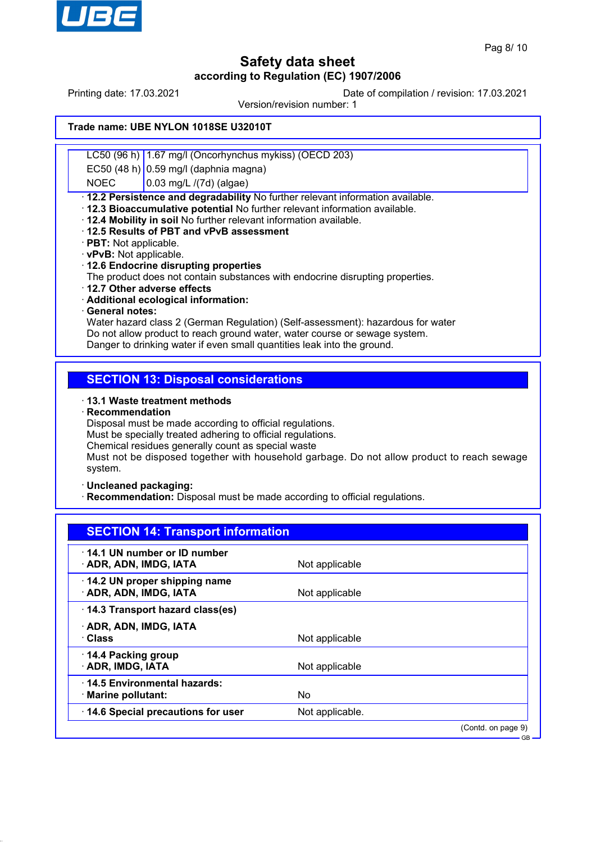

Printing date: 17.03.2021 Date of compilation / revision: 17.03.2021

Version/revision number: 1

### **Trade name: UBE NYLON 1018SE U32010T**

LC50 (96 h) 1.67 mg/l (Oncorhynchus mykiss) (OECD 203)

EC50 (48 h) 0.59 mg/l (daphnia magna)

 $NOEC$   $|0.03 \text{ mg/L}$  /(7d) (algae)

· **12.2 Persistence and degradability** No further relevant information available.

- · **12.3 Bioaccumulative potential** No further relevant information available.
- · **12.4 Mobility in soil** No further relevant information available.
- · **12.5 Results of PBT and vPvB assessment**
- · **PBT:** Not applicable.
- · **vPvB:** Not applicable.
- · **12.6 Endocrine disrupting properties**

The product does not contain substances with endocrine disrupting properties.

- · **12.7 Other adverse effects**
- · **Additional ecological information:**
- · **General notes:**

Water hazard class 2 (German Regulation) (Self-assessment): hazardous for water Do not allow product to reach ground water, water course or sewage system. Danger to drinking water if even small quantities leak into the ground.

## **SECTION 13: Disposal considerations**

· **13.1 Waste treatment methods**

· **Recommendation**

Disposal must be made according to official regulations.

Must be specially treated adhering to official regulations.

Chemical residues generally count as special waste

Must not be disposed together with household garbage. Do not allow product to reach sewage system.

· **Uncleaned packaging:**

**Recommendation:** Disposal must be made according to official regulations.

| <b>SECTION 14: Transport information</b>               |                 |                    |
|--------------------------------------------------------|-----------------|--------------------|
| 14.1 UN number or ID number<br>· ADR, ADN, IMDG, IATA  | Not applicable  |                    |
| 14.2 UN proper shipping name<br>· ADR, ADN, IMDG, IATA | Not applicable  |                    |
| 14.3 Transport hazard class(es)                        |                 |                    |
| · ADR, ADN, IMDG, IATA                                 |                 |                    |
| · Class                                                | Not applicable  |                    |
| 14.4 Packing group<br>· ADR, IMDG, IATA                | Not applicable  |                    |
| 14.5 Environmental hazards:<br>· Marine pollutant:     | No              |                    |
| 14.6 Special precautions for user                      | Not applicable. |                    |
|                                                        |                 | (Contd. on page 9) |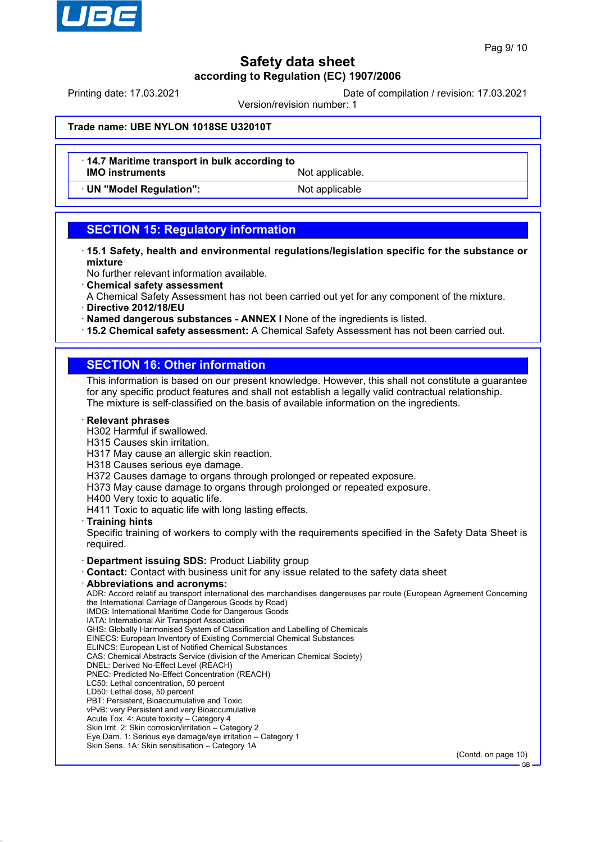

Printing date: 17.03.2021 Date of compilation / revision: 17.03.2021

Version/revision number: 1

### **Trade name: UBE NYLON 1018SE U32010T**

- · **14.7 Maritime transport in bulk according to IMO instruments** Not applicable.
- 

· **UN "Model Regulation":** Not applicable

## **SECTION 15: Regulatory information**

- · **15.1 Safety, health and environmental regulations/legislation specific for the substance or mixture**
- No further relevant information available.
- · **Chemical safety assessment**
- A Chemical Safety Assessment has not been carried out yet for any component of the mixture.
- · **Directive 2012/18/EU**
- · **Named dangerous substances ANNEX I** None of the ingredients is listed.
- · **15.2 Chemical safety assessment:** A Chemical Safety Assessment has not been carried out.

## **SECTION 16: Other information**

This information is based on our present knowledge. However, this shall not constitute a guarantee for any specific product features and shall not establish a legally valid contractual relationship. The mixture is self-classified on the basis of available information on the ingredients.

#### · **Relevant phrases**

- H302 Harmful if swallowed.
- H315 Causes skin irritation.
- H317 May cause an allergic skin reaction.
- H318 Causes serious eye damage.
- H372 Causes damage to organs through prolonged or repeated exposure.
- H373 May cause damage to organs through prolonged or repeated exposure.
- H400 Very toxic to aquatic life.

H411 Toxic to aquatic life with long lasting effects.

· **Training hints**

Specific training of workers to comply with the requirements specified in the Safety Data Sheet is required.

- · **Department issuing SDS:** Product Liability group
- **Contact:** Contact with business unit for any issue related to the safety data sheet
- · **Abbreviations and acronyms:**

ADR: Accord relatif au transport international des marchandises dangereuses par route (European Agreement Concerning the International Carriage of Dangerous Goods by Road)

- IMDG: International Maritime Code for Dangerous Goods IATA: International Air Transport Association
- GHS: Globally Harmonised System of Classification and Labelling of Chemicals
- EINECS: European Inventory of Existing Commercial Chemical Substances
- ELINCS: European List of Notified Chemical Substances
- CAS: Chemical Abstracts Service (division of the American Chemical Society)
- DNEL: Derived No-Effect Level (REACH)
- PNEC: Predicted No-Effect Concentration (REACH)
- LC50: Lethal concentration, 50 percent
- LD50: Lethal dose, 50 percent
- PBT: Persistent, Bioaccumulative and Toxic
- vPvB: very Persistent and very Bioaccumulative Acute Tox. 4: Acute toxicity – Category 4
- Skin Irrit. 2: Skin corrosion/irritation Category 2
- Eye Dam. 1: Serious eye damage/eye irritation Category 1
- Skin Sens. 1A: Skin sensitisation Category 1A

(Contd. on page 10)

GB